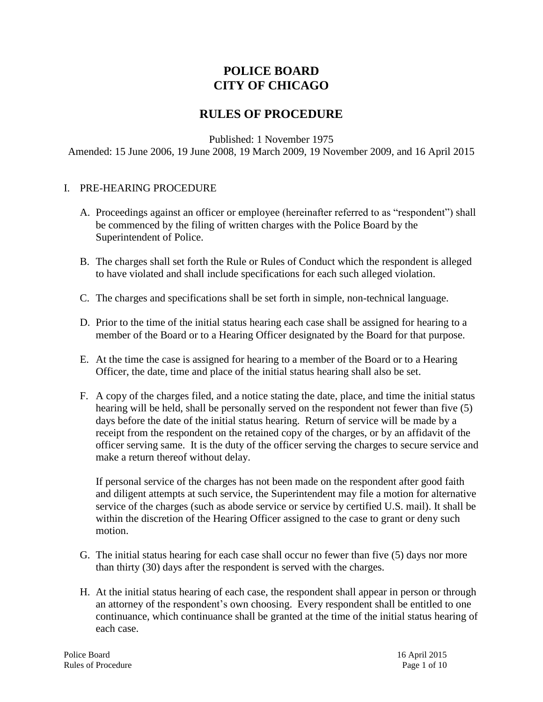# **POLICE BOARD CITY OF CHICAGO**

# **RULES OF PROCEDURE**

Published: 1 November 1975

Amended: 15 June 2006, 19 June 2008, 19 March 2009, 19 November 2009, and 16 April 2015

#### I. PRE-HEARING PROCEDURE

- A. Proceedings against an officer or employee (hereinafter referred to as "respondent") shall be commenced by the filing of written charges with the Police Board by the Superintendent of Police.
- B. The charges shall set forth the Rule or Rules of Conduct which the respondent is alleged to have violated and shall include specifications for each such alleged violation.
- C. The charges and specifications shall be set forth in simple, non-technical language.
- D. Prior to the time of the initial status hearing each case shall be assigned for hearing to a member of the Board or to a Hearing Officer designated by the Board for that purpose.
- E. At the time the case is assigned for hearing to a member of the Board or to a Hearing Officer, the date, time and place of the initial status hearing shall also be set.
- F. A copy of the charges filed, and a notice stating the date, place, and time the initial status hearing will be held, shall be personally served on the respondent not fewer than five (5) days before the date of the initial status hearing. Return of service will be made by a receipt from the respondent on the retained copy of the charges, or by an affidavit of the officer serving same. It is the duty of the officer serving the charges to secure service and make a return thereof without delay.

If personal service of the charges has not been made on the respondent after good faith and diligent attempts at such service, the Superintendent may file a motion for alternative service of the charges (such as abode service or service by certified U.S. mail). It shall be within the discretion of the Hearing Officer assigned to the case to grant or deny such motion.

- G. The initial status hearing for each case shall occur no fewer than five (5) days nor more than thirty (30) days after the respondent is served with the charges.
- H. At the initial status hearing of each case, the respondent shall appear in person or through an attorney of the respondent's own choosing. Every respondent shall be entitled to one continuance, which continuance shall be granted at the time of the initial status hearing of each case.

Police Board 16 April 2015 Rules of Procedure Page 1 of 10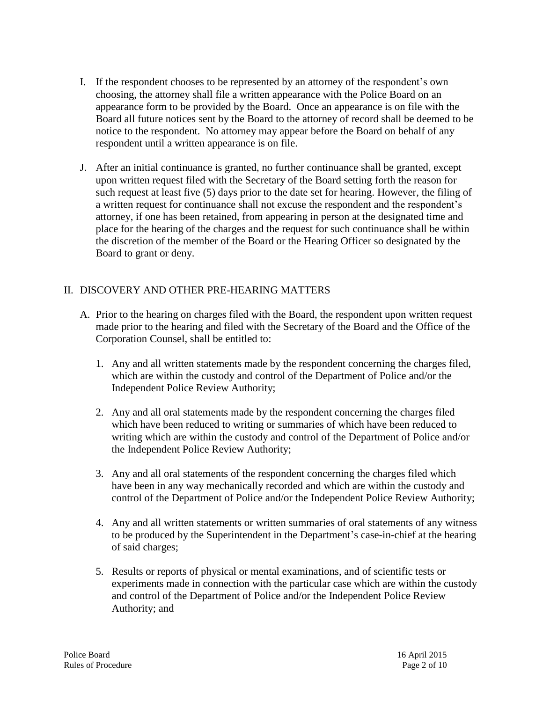- I. If the respondent chooses to be represented by an attorney of the respondent's own choosing, the attorney shall file a written appearance with the Police Board on an appearance form to be provided by the Board. Once an appearance is on file with the Board all future notices sent by the Board to the attorney of record shall be deemed to be notice to the respondent. No attorney may appear before the Board on behalf of any respondent until a written appearance is on file.
- J. After an initial continuance is granted, no further continuance shall be granted, except upon written request filed with the Secretary of the Board setting forth the reason for such request at least five (5) days prior to the date set for hearing. However, the filing of a written request for continuance shall not excuse the respondent and the respondent's attorney, if one has been retained, from appearing in person at the designated time and place for the hearing of the charges and the request for such continuance shall be within the discretion of the member of the Board or the Hearing Officer so designated by the Board to grant or deny.

## II. DISCOVERY AND OTHER PRE-HEARING MATTERS

- A. Prior to the hearing on charges filed with the Board, the respondent upon written request made prior to the hearing and filed with the Secretary of the Board and the Office of the Corporation Counsel, shall be entitled to:
	- 1. Any and all written statements made by the respondent concerning the charges filed, which are within the custody and control of the Department of Police and/or the Independent Police Review Authority;
	- 2. Any and all oral statements made by the respondent concerning the charges filed which have been reduced to writing or summaries of which have been reduced to writing which are within the custody and control of the Department of Police and/or the Independent Police Review Authority;
	- 3. Any and all oral statements of the respondent concerning the charges filed which have been in any way mechanically recorded and which are within the custody and control of the Department of Police and/or the Independent Police Review Authority;
	- 4. Any and all written statements or written summaries of oral statements of any witness to be produced by the Superintendent in the Department's case-in-chief at the hearing of said charges;
	- 5. Results or reports of physical or mental examinations, and of scientific tests or experiments made in connection with the particular case which are within the custody and control of the Department of Police and/or the Independent Police Review Authority; and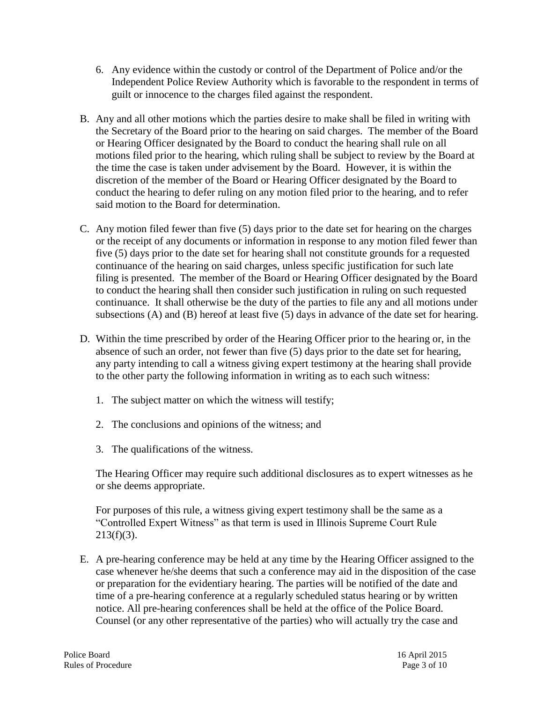- 6. Any evidence within the custody or control of the Department of Police and/or the Independent Police Review Authority which is favorable to the respondent in terms of guilt or innocence to the charges filed against the respondent.
- B. Any and all other motions which the parties desire to make shall be filed in writing with the Secretary of the Board prior to the hearing on said charges. The member of the Board or Hearing Officer designated by the Board to conduct the hearing shall rule on all motions filed prior to the hearing, which ruling shall be subject to review by the Board at the time the case is taken under advisement by the Board. However, it is within the discretion of the member of the Board or Hearing Officer designated by the Board to conduct the hearing to defer ruling on any motion filed prior to the hearing, and to refer said motion to the Board for determination.
- C. Any motion filed fewer than five (5) days prior to the date set for hearing on the charges or the receipt of any documents or information in response to any motion filed fewer than five (5) days prior to the date set for hearing shall not constitute grounds for a requested continuance of the hearing on said charges, unless specific justification for such late filing is presented. The member of the Board or Hearing Officer designated by the Board to conduct the hearing shall then consider such justification in ruling on such requested continuance. It shall otherwise be the duty of the parties to file any and all motions under subsections (A) and (B) hereof at least five (5) days in advance of the date set for hearing.
- D. Within the time prescribed by order of the Hearing Officer prior to the hearing or, in the absence of such an order, not fewer than five (5) days prior to the date set for hearing, any party intending to call a witness giving expert testimony at the hearing shall provide to the other party the following information in writing as to each such witness:
	- 1. The subject matter on which the witness will testify;
	- 2. The conclusions and opinions of the witness; and
	- 3. The qualifications of the witness.

The Hearing Officer may require such additional disclosures as to expert witnesses as he or she deems appropriate.

For purposes of this rule, a witness giving expert testimony shall be the same as a "Controlled Expert Witness" as that term is used in Illinois Supreme Court Rule  $213(f)(3)$ .

E. A pre-hearing conference may be held at any time by the Hearing Officer assigned to the case whenever he/she deems that such a conference may aid in the disposition of the case or preparation for the evidentiary hearing. The parties will be notified of the date and time of a pre-hearing conference at a regularly scheduled status hearing or by written notice. All pre-hearing conferences shall be held at the office of the Police Board. Counsel (or any other representative of the parties) who will actually try the case and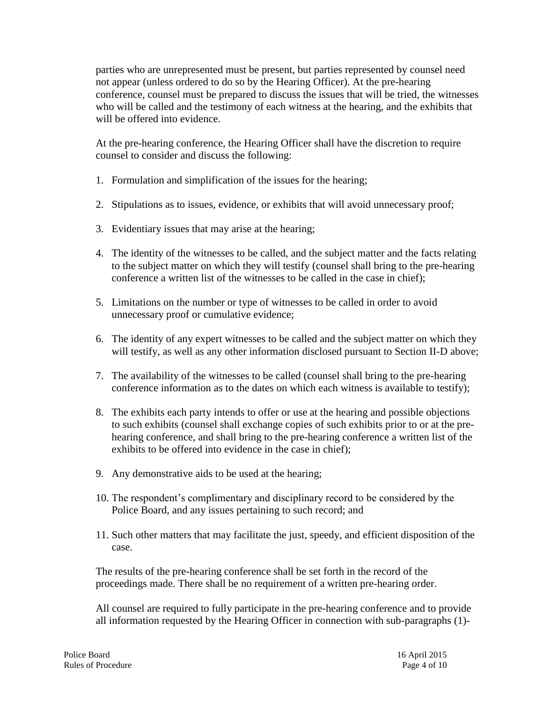parties who are unrepresented must be present, but parties represented by counsel need not appear (unless ordered to do so by the Hearing Officer). At the pre-hearing conference, counsel must be prepared to discuss the issues that will be tried, the witnesses who will be called and the testimony of each witness at the hearing, and the exhibits that will be offered into evidence.

At the pre-hearing conference, the Hearing Officer shall have the discretion to require counsel to consider and discuss the following:

- 1. Formulation and simplification of the issues for the hearing;
- 2. Stipulations as to issues, evidence, or exhibits that will avoid unnecessary proof;
- 3. Evidentiary issues that may arise at the hearing;
- 4. The identity of the witnesses to be called, and the subject matter and the facts relating to the subject matter on which they will testify (counsel shall bring to the pre-hearing conference a written list of the witnesses to be called in the case in chief);
- 5. Limitations on the number or type of witnesses to be called in order to avoid unnecessary proof or cumulative evidence;
- 6. The identity of any expert witnesses to be called and the subject matter on which they will testify, as well as any other information disclosed pursuant to Section II-D above;
- 7. The availability of the witnesses to be called (counsel shall bring to the pre-hearing conference information as to the dates on which each witness is available to testify);
- 8. The exhibits each party intends to offer or use at the hearing and possible objections to such exhibits (counsel shall exchange copies of such exhibits prior to or at the prehearing conference, and shall bring to the pre-hearing conference a written list of the exhibits to be offered into evidence in the case in chief);
- 9. Any demonstrative aids to be used at the hearing;
- 10. The respondent's complimentary and disciplinary record to be considered by the Police Board, and any issues pertaining to such record; and
- 11. Such other matters that may facilitate the just, speedy, and efficient disposition of the case.

The results of the pre-hearing conference shall be set forth in the record of the proceedings made. There shall be no requirement of a written pre-hearing order.

All counsel are required to fully participate in the pre-hearing conference and to provide all information requested by the Hearing Officer in connection with sub-paragraphs (1)-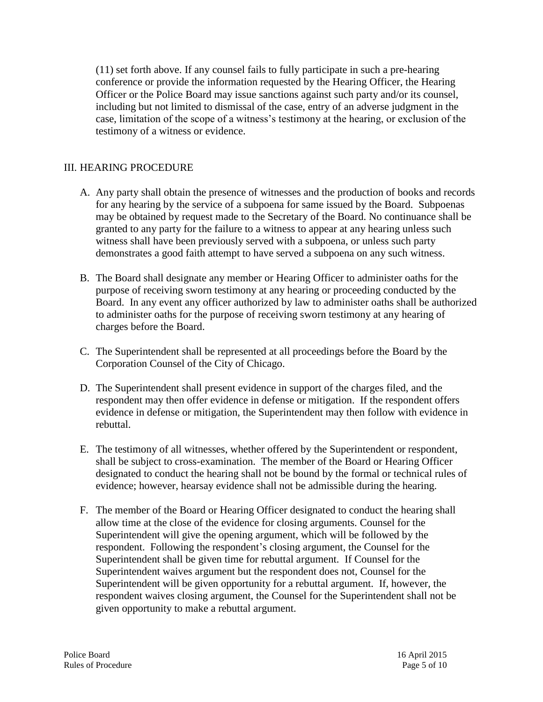(11) set forth above. If any counsel fails to fully participate in such a pre-hearing conference or provide the information requested by the Hearing Officer, the Hearing Officer or the Police Board may issue sanctions against such party and/or its counsel, including but not limited to dismissal of the case, entry of an adverse judgment in the case, limitation of the scope of a witness's testimony at the hearing, or exclusion of the testimony of a witness or evidence.

## III. HEARING PROCEDURE

- A. Any party shall obtain the presence of witnesses and the production of books and records for any hearing by the service of a subpoena for same issued by the Board. Subpoenas may be obtained by request made to the Secretary of the Board. No continuance shall be granted to any party for the failure to a witness to appear at any hearing unless such witness shall have been previously served with a subpoena, or unless such party demonstrates a good faith attempt to have served a subpoena on any such witness.
- B. The Board shall designate any member or Hearing Officer to administer oaths for the purpose of receiving sworn testimony at any hearing or proceeding conducted by the Board. In any event any officer authorized by law to administer oaths shall be authorized to administer oaths for the purpose of receiving sworn testimony at any hearing of charges before the Board.
- C. The Superintendent shall be represented at all proceedings before the Board by the Corporation Counsel of the City of Chicago.
- D. The Superintendent shall present evidence in support of the charges filed, and the respondent may then offer evidence in defense or mitigation. If the respondent offers evidence in defense or mitigation, the Superintendent may then follow with evidence in rebuttal.
- E. The testimony of all witnesses, whether offered by the Superintendent or respondent, shall be subject to cross-examination. The member of the Board or Hearing Officer designated to conduct the hearing shall not be bound by the formal or technical rules of evidence; however, hearsay evidence shall not be admissible during the hearing.
- F. The member of the Board or Hearing Officer designated to conduct the hearing shall allow time at the close of the evidence for closing arguments. Counsel for the Superintendent will give the opening argument, which will be followed by the respondent. Following the respondent's closing argument, the Counsel for the Superintendent shall be given time for rebuttal argument. If Counsel for the Superintendent waives argument but the respondent does not, Counsel for the Superintendent will be given opportunity for a rebuttal argument. If, however, the respondent waives closing argument, the Counsel for the Superintendent shall not be given opportunity to make a rebuttal argument.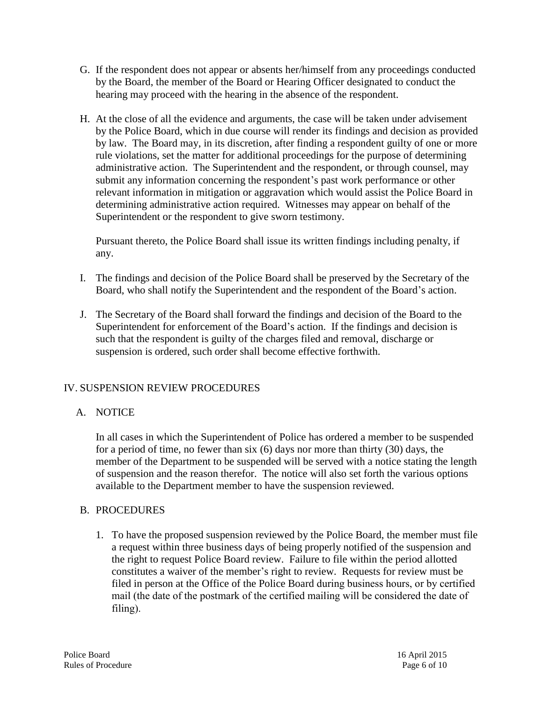- G. If the respondent does not appear or absents her/himself from any proceedings conducted by the Board, the member of the Board or Hearing Officer designated to conduct the hearing may proceed with the hearing in the absence of the respondent.
- H. At the close of all the evidence and arguments, the case will be taken under advisement by the Police Board, which in due course will render its findings and decision as provided by law. The Board may, in its discretion, after finding a respondent guilty of one or more rule violations, set the matter for additional proceedings for the purpose of determining administrative action. The Superintendent and the respondent, or through counsel, may submit any information concerning the respondent's past work performance or other relevant information in mitigation or aggravation which would assist the Police Board in determining administrative action required. Witnesses may appear on behalf of the Superintendent or the respondent to give sworn testimony.

Pursuant thereto, the Police Board shall issue its written findings including penalty, if any.

- I. The findings and decision of the Police Board shall be preserved by the Secretary of the Board, who shall notify the Superintendent and the respondent of the Board's action.
- J. The Secretary of the Board shall forward the findings and decision of the Board to the Superintendent for enforcement of the Board's action. If the findings and decision is such that the respondent is guilty of the charges filed and removal, discharge or suspension is ordered, such order shall become effective forthwith.

# IV. SUSPENSION REVIEW PROCEDURES

# A. NOTICE

In all cases in which the Superintendent of Police has ordered a member to be suspended for a period of time, no fewer than six (6) days nor more than thirty (30) days, the member of the Department to be suspended will be served with a notice stating the length of suspension and the reason therefor. The notice will also set forth the various options available to the Department member to have the suspension reviewed.

# B. PROCEDURES

1. To have the proposed suspension reviewed by the Police Board, the member must file a request within three business days of being properly notified of the suspension and the right to request Police Board review. Failure to file within the period allotted constitutes a waiver of the member's right to review. Requests for review must be filed in person at the Office of the Police Board during business hours, or by certified mail (the date of the postmark of the certified mailing will be considered the date of filing).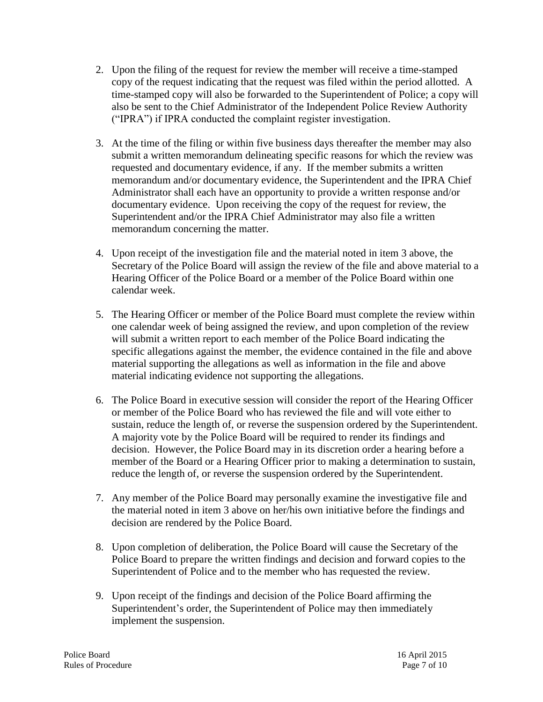- 2. Upon the filing of the request for review the member will receive a time-stamped copy of the request indicating that the request was filed within the period allotted. A time-stamped copy will also be forwarded to the Superintendent of Police; a copy will also be sent to the Chief Administrator of the Independent Police Review Authority ("IPRA") if IPRA conducted the complaint register investigation.
- 3. At the time of the filing or within five business days thereafter the member may also submit a written memorandum delineating specific reasons for which the review was requested and documentary evidence, if any. If the member submits a written memorandum and/or documentary evidence, the Superintendent and the IPRA Chief Administrator shall each have an opportunity to provide a written response and/or documentary evidence. Upon receiving the copy of the request for review, the Superintendent and/or the IPRA Chief Administrator may also file a written memorandum concerning the matter.
- 4. Upon receipt of the investigation file and the material noted in item 3 above, the Secretary of the Police Board will assign the review of the file and above material to a Hearing Officer of the Police Board or a member of the Police Board within one calendar week.
- 5. The Hearing Officer or member of the Police Board must complete the review within one calendar week of being assigned the review, and upon completion of the review will submit a written report to each member of the Police Board indicating the specific allegations against the member, the evidence contained in the file and above material supporting the allegations as well as information in the file and above material indicating evidence not supporting the allegations.
- 6. The Police Board in executive session will consider the report of the Hearing Officer or member of the Police Board who has reviewed the file and will vote either to sustain, reduce the length of, or reverse the suspension ordered by the Superintendent. A majority vote by the Police Board will be required to render its findings and decision. However, the Police Board may in its discretion order a hearing before a member of the Board or a Hearing Officer prior to making a determination to sustain, reduce the length of, or reverse the suspension ordered by the Superintendent.
- 7. Any member of the Police Board may personally examine the investigative file and the material noted in item 3 above on her/his own initiative before the findings and decision are rendered by the Police Board.
- 8. Upon completion of deliberation, the Police Board will cause the Secretary of the Police Board to prepare the written findings and decision and forward copies to the Superintendent of Police and to the member who has requested the review.
- 9. Upon receipt of the findings and decision of the Police Board affirming the Superintendent's order, the Superintendent of Police may then immediately implement the suspension.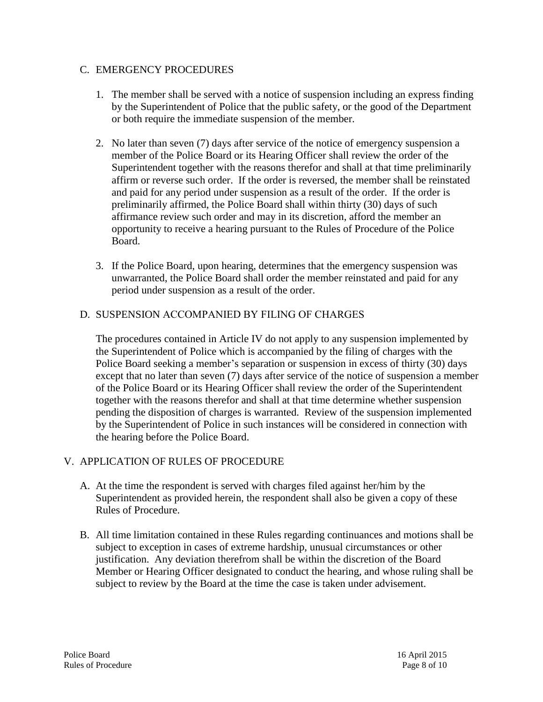#### C. EMERGENCY PROCEDURES

- 1. The member shall be served with a notice of suspension including an express finding by the Superintendent of Police that the public safety, or the good of the Department or both require the immediate suspension of the member.
- 2. No later than seven (7) days after service of the notice of emergency suspension a member of the Police Board or its Hearing Officer shall review the order of the Superintendent together with the reasons therefor and shall at that time preliminarily affirm or reverse such order. If the order is reversed, the member shall be reinstated and paid for any period under suspension as a result of the order. If the order is preliminarily affirmed, the Police Board shall within thirty (30) days of such affirmance review such order and may in its discretion, afford the member an opportunity to receive a hearing pursuant to the Rules of Procedure of the Police Board.
- 3. If the Police Board, upon hearing, determines that the emergency suspension was unwarranted, the Police Board shall order the member reinstated and paid for any period under suspension as a result of the order.

## D. SUSPENSION ACCOMPANIED BY FILING OF CHARGES

The procedures contained in Article IV do not apply to any suspension implemented by the Superintendent of Police which is accompanied by the filing of charges with the Police Board seeking a member's separation or suspension in excess of thirty (30) days except that no later than seven (7) days after service of the notice of suspension a member of the Police Board or its Hearing Officer shall review the order of the Superintendent together with the reasons therefor and shall at that time determine whether suspension pending the disposition of charges is warranted. Review of the suspension implemented by the Superintendent of Police in such instances will be considered in connection with the hearing before the Police Board.

#### V. APPLICATION OF RULES OF PROCEDURE

- A. At the time the respondent is served with charges filed against her/him by the Superintendent as provided herein, the respondent shall also be given a copy of these Rules of Procedure.
- B. All time limitation contained in these Rules regarding continuances and motions shall be subject to exception in cases of extreme hardship, unusual circumstances or other justification. Any deviation therefrom shall be within the discretion of the Board Member or Hearing Officer designated to conduct the hearing, and whose ruling shall be subject to review by the Board at the time the case is taken under advisement.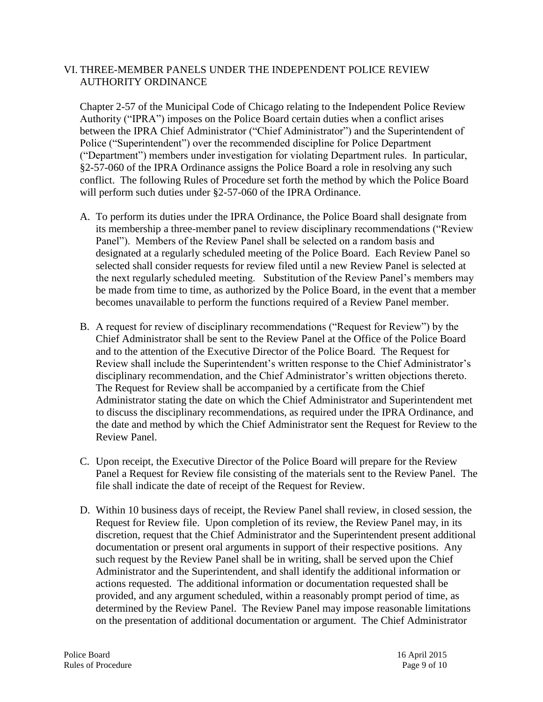### VI. THREE-MEMBER PANELS UNDER THE INDEPENDENT POLICE REVIEW AUTHORITY ORDINANCE

Chapter 2-57 of the Municipal Code of Chicago relating to the Independent Police Review Authority ("IPRA") imposes on the Police Board certain duties when a conflict arises between the IPRA Chief Administrator ("Chief Administrator") and the Superintendent of Police ("Superintendent") over the recommended discipline for Police Department ("Department") members under investigation for violating Department rules. In particular, §2-57-060 of the IPRA Ordinance assigns the Police Board a role in resolving any such conflict. The following Rules of Procedure set forth the method by which the Police Board will perform such duties under §2-57-060 of the IPRA Ordinance.

- A. To perform its duties under the IPRA Ordinance, the Police Board shall designate from its membership a three-member panel to review disciplinary recommendations ("Review Panel"). Members of the Review Panel shall be selected on a random basis and designated at a regularly scheduled meeting of the Police Board. Each Review Panel so selected shall consider requests for review filed until a new Review Panel is selected at the next regularly scheduled meeting. Substitution of the Review Panel's members may be made from time to time, as authorized by the Police Board, in the event that a member becomes unavailable to perform the functions required of a Review Panel member.
- B. A request for review of disciplinary recommendations ("Request for Review") by the Chief Administrator shall be sent to the Review Panel at the Office of the Police Board and to the attention of the Executive Director of the Police Board. The Request for Review shall include the Superintendent's written response to the Chief Administrator's disciplinary recommendation, and the Chief Administrator's written objections thereto. The Request for Review shall be accompanied by a certificate from the Chief Administrator stating the date on which the Chief Administrator and Superintendent met to discuss the disciplinary recommendations, as required under the IPRA Ordinance, and the date and method by which the Chief Administrator sent the Request for Review to the Review Panel.
- C. Upon receipt, the Executive Director of the Police Board will prepare for the Review Panel a Request for Review file consisting of the materials sent to the Review Panel. The file shall indicate the date of receipt of the Request for Review.
- D. Within 10 business days of receipt, the Review Panel shall review, in closed session, the Request for Review file. Upon completion of its review, the Review Panel may, in its discretion, request that the Chief Administrator and the Superintendent present additional documentation or present oral arguments in support of their respective positions. Any such request by the Review Panel shall be in writing, shall be served upon the Chief Administrator and the Superintendent, and shall identify the additional information or actions requested. The additional information or documentation requested shall be provided, and any argument scheduled, within a reasonably prompt period of time, as determined by the Review Panel. The Review Panel may impose reasonable limitations on the presentation of additional documentation or argument. The Chief Administrator